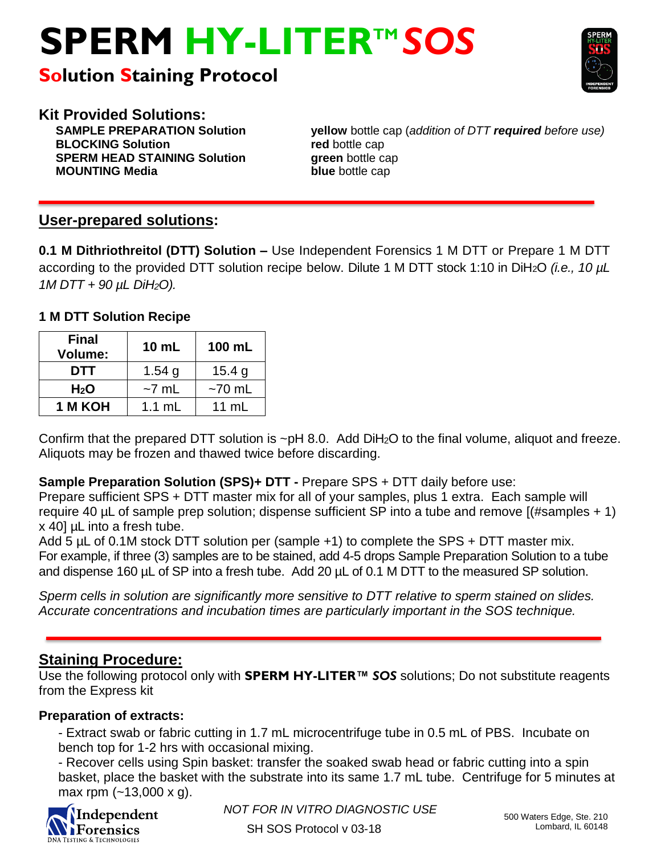# **SPERM HY-LITERTM** *SOS*

# **Solution Staining Protocol**



**Kit Provided Solutions: BLOCKING Solution red** bottle cap **SPERM HEAD STAINING Solution green** bottle cap **MOUNTING Media blue** bottle cap

**SAMPLE PREPARATION Solution yellow** bottle cap (*addition of DTT required before use)*

# **User-prepared solutions:**

**0.1 M Dithriothreitol (DTT) Solution –** Use Independent Forensics 1 M DTT or Prepare 1 M DTT according to the provided DTT solution recipe below. Dilute 1 M DTT stock 1:10 in DiH2O *(i.e., 10 µL 1M DTT + 90 µL DiH2O).*

# **1 M DTT Solution Recipe**

| <b>Final</b><br><b>Volume:</b> | 10 mL            | 100 mL     |
|--------------------------------|------------------|------------|
| DTT                            | 1.54 $q$         | 15.4 $q$   |
| H <sub>2</sub> O               | $~\sim$ 7 mL     | $~5$ 70 mL |
| 1 M KOH                        | $1.1 \text{ mL}$ | 11 $mL$    |

Confirm that the prepared DTT solution is ~pH 8.0. Add DiH2O to the final volume, aliquot and freeze. Aliquots may be frozen and thawed twice before discarding.

# **Sample Preparation Solution (SPS)+ DTT -** Prepare SPS + DTT daily before use:

Prepare sufficient SPS + DTT master mix for all of your samples, plus 1 extra. Each sample will require 40  $\mu$ L of sample prep solution; dispense sufficient SP into a tube and remove  $($ #samples + 1 $)$ x 40] µL into a fresh tube.

Add 5 µL of 0.1M stock DTT solution per (sample +1) to complete the SPS + DTT master mix. For example, if three (3) samples are to be stained, add 4-5 drops Sample Preparation Solution to a tube and dispense 160 µL of SP into a fresh tube. Add 20 µL of 0.1 M DTT to the measured SP solution.

*Sperm cells in solution are significantly more sensitive to DTT relative to sperm stained on slides. Accurate concentrations and incubation times are particularly important in the SOS technique.*

# **Staining Procedure:**

Use the following protocol only with **SPERM HY-LITER™** *SOS* solutions; Do not substitute reagents from the Express kit

# **Preparation of extracts:**

- Extract swab or fabric cutting in 1.7 mL microcentrifuge tube in 0.5 mL of PBS. Incubate on bench top for 1-2 hrs with occasional mixing.

- Recover cells using Spin basket: transfer the soaked swab head or fabric cutting into a spin basket, place the basket with the substrate into its same 1.7 mL tube. Centrifuge for 5 minutes at max rpm  $(-13,000 \times g)$ .



*NOT FOR IN VITRO DIAGNOSTIC USE* 500 Waters Edge, Ste. 210

SH SOS Protocol v 03-18 **Disk Compare 103-18** Lombard, IL 60148